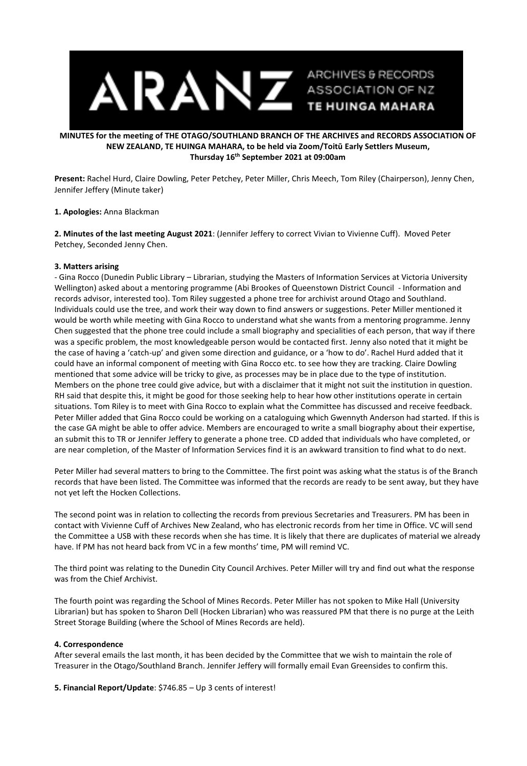

# **MINUTES for the meeting of THE OTAGO/SOUTHLAND BRANCH OF THE ARCHIVES and RECORDS ASSOCIATION OF NEW ZEALAND, TE HUINGA MAHARA, to be held via Zoom/Toitū Early Settlers Museum, Thursday 16 th September 2021 at 09:00am**

**Present:** Rachel Hurd, Claire Dowling, Peter Petchey, Peter Miller, Chris Meech, Tom Riley (Chairperson), Jenny Chen, Jennifer Jeffery (Minute taker)

#### **1. Apologies:** Anna Blackman

**2. Minutes of the last meeting August 2021**: (Jennifer Jeffery to correct Vivian to Vivienne Cuff). Moved Peter Petchey, Seconded Jenny Chen.

## **3. Matters arising**

- Gina Rocco (Dunedin Public Library – Librarian, studying the Masters of Information Services at Victoria University Wellington) asked about a mentoring programme (Abi Brookes of Queenstown District Council - Information and records advisor, interested too). Tom Riley suggested a phone tree for archivist around Otago and Southland. Individuals could use the tree, and work their way down to find answers or suggestions. Peter Miller mentioned it would be worth while meeting with Gina Rocco to understand what she wants from a mentoring programme. Jenny Chen suggested that the phone tree could include a small biography and specialities of each person, that way if there was a specific problem, the most knowledgeable person would be contacted first. Jenny also noted that it might be the case of having a 'catch-up' and given some direction and guidance, or a 'how to do'. Rachel Hurd added that it could have an informal component of meeting with Gina Rocco etc. to see how they are tracking. Claire Dowling mentioned that some advice will be tricky to give, as processes may be in place due to the type of institution. Members on the phone tree could give advice, but with a disclaimer that it might not suit the institution in question. RH said that despite this, it might be good for those seeking help to hear how other institutions operate in certain situations. Tom Riley is to meet with Gina Rocco to explain what the Committee has discussed and receive feedback. Peter Miller added that Gina Rocco could be working on a cataloguing which Gwennyth Anderson had started. If this is the case GA might be able to offer advice. Members are encouraged to write a small biography about their expertise, an submit this to TR or Jennifer Jeffery to generate a phone tree. CD added that individuals who have completed, or are near completion, of the Master of Information Services find it is an awkward transition to find what to do next.

Peter Miller had several matters to bring to the Committee. The first point was asking what the status is of the Branch records that have been listed. The Committee was informed that the records are ready to be sent away, but they have not yet left the Hocken Collections.

The second point was in relation to collecting the records from previous Secretaries and Treasurers. PM has been in contact with Vivienne Cuff of Archives New Zealand, who has electronic records from her time in Office. VC will send the Committee a USB with these records when she has time. It is likely that there are duplicates of material we already have. If PM has not heard back from VC in a few months' time, PM will remind VC.

The third point was relating to the Dunedin City Council Archives. Peter Miller will try and find out what the response was from the Chief Archivist.

The fourth point was regarding the School of Mines Records. Peter Miller has not spoken to Mike Hall (University Librarian) but has spoken to Sharon Dell (Hocken Librarian) who was reassured PM that there is no purge at the Leith Street Storage Building (where the School of Mines Records are held).

# **4. Correspondence**

After several emails the last month, it has been decided by the Committee that we wish to maintain the role of Treasurer in the Otago/Southland Branch. Jennifer Jeffery will formally email Evan Greensides to confirm this.

**5. Financial Report/Update**: \$746.85 – Up 3 cents of interest!